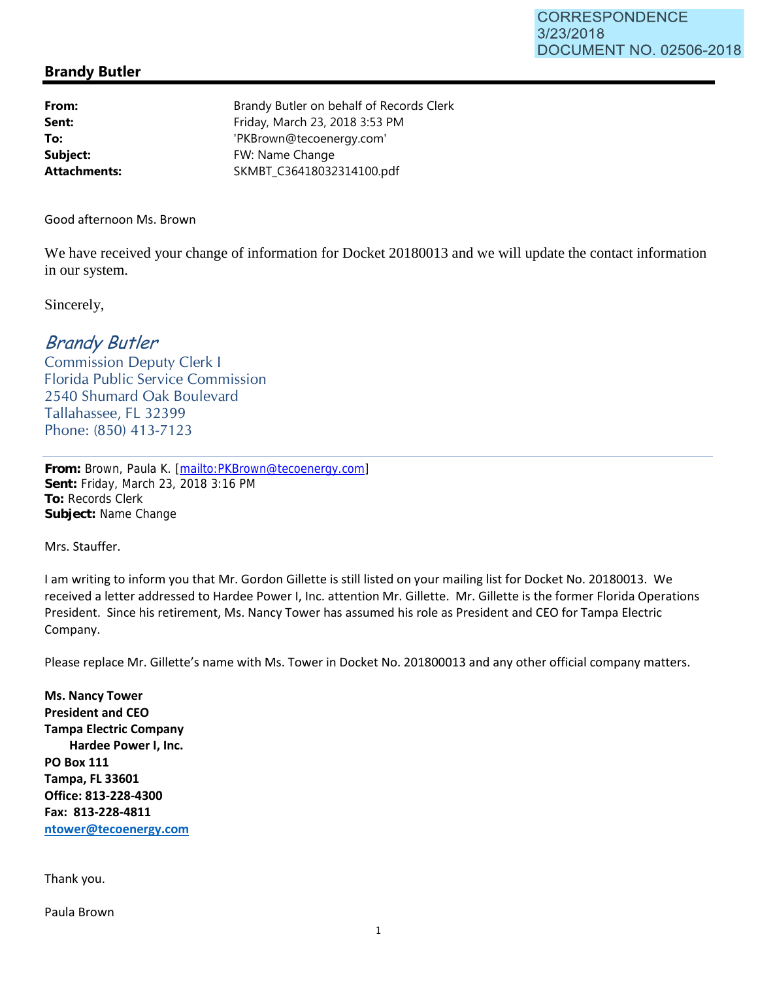## **Brandy Butler**

**Subject:** FW: Name Change

**From:** Brandy Butler on behalf of Records Clerk **Sent:** Friday, March 23, 2018 3:53 PM **To:** 'PKBrown@tecoenergy.com' **Attachments:** SKMBT\_C36418032314100.pdf

Good afternoon Ms. Brown

We have received your change of information for Docket 20180013 and we will update the contact information in our system.

Sincerely,

## Brandy Butler

Commission Deputy Clerk I Florida Public Service Commission 2540 Shumard Oak Boulevard Tallahassee, FL 32399 Phone: (850) 413-7123

**From:** Brown, Paula K. [mailto:PKBrown@tecoenergy.com] **Sent:** Friday, March 23, 2018 3:16 PM **To:** Records Clerk **Subject:** Name Change

Mrs. Stauffer.

I am writing to inform you that Mr. Gordon Gillette is still listed on your mailing list for Docket No. 20180013. We received a letter addressed to Hardee Power I, Inc. attention Mr. Gillette. Mr. Gillette is the former Florida Operations President. Since his retirement, Ms. Nancy Tower has assumed his role as President and CEO for Tampa Electric Company.

Please replace Mr. Gillette's name with Ms. Tower in Docket No. 201800013 and any other official company matters.

**Ms. Nancy Tower President and CEO Tampa Electric Company Hardee Power I, Inc. PO Box 111 Tampa, FL 33601 Office: 813-228-4300 Fax: 813-228-4811 ntower@tecoenergy.com**

Thank you.

Paula Brown